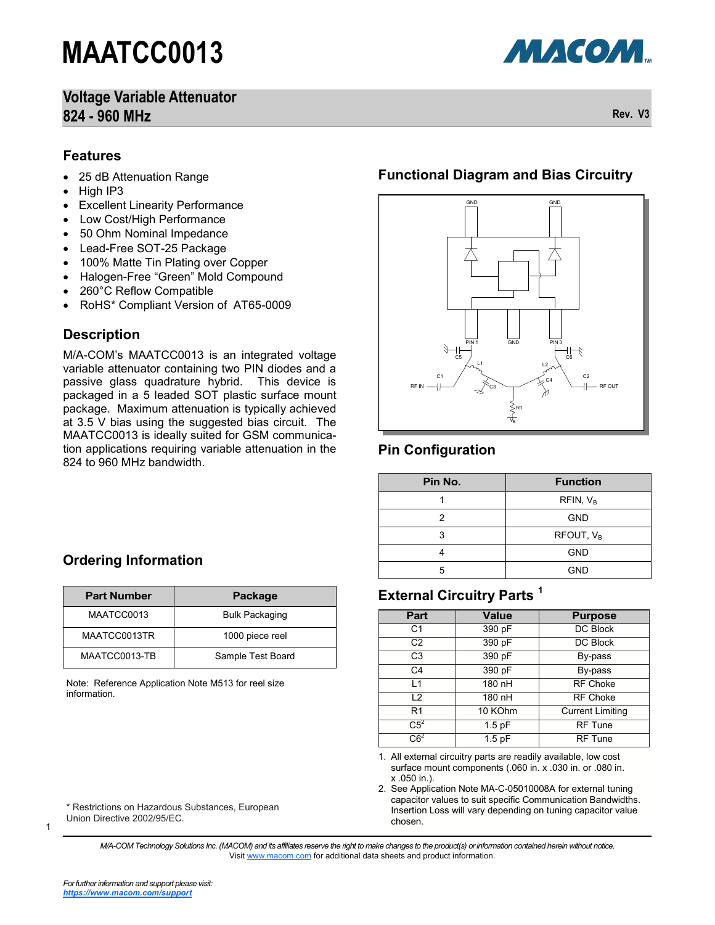## **Voltage Variable Attenuator 824 - 960 MHz Rev. V3**

**МАСОМ** 

#### **Features**

- 25 dB Attenuation Range
- High IP3
- Excellent Linearity Performance
- Low Cost/High Performance
- 50 Ohm Nominal Impedance
- Lead-Free SOT-25 Package
- 100% Matte Tin Plating over Copper
- Halogen-Free "Green" Mold Compound
- 260°C Reflow Compatible
- RoHS\* Compliant Version of AT65-0009

### **Description**

M/A-COM's MAATCC0013 is an integrated voltage variable attenuator containing two PIN diodes and a passive glass quadrature hybrid. This device is packaged in a 5 leaded SOT plastic surface mount package. Maximum attenuation is typically achieved at 3.5 V bias using the suggested bias circuit. The MAATCC0013 is ideally suited for GSM communication applications requiring variable attenuation in the 824 to 960 MHz bandwidth.

# **Ordering Information**

| <b>Part Number</b> | Package               |
|--------------------|-----------------------|
| MAATCC0013         | <b>Bulk Packaging</b> |
| MAATCC0013TR       | 1000 piece reel       |
| MAATCC0013-TB      | Sample Test Board     |

Note: Reference Application Note M513 for reel size information.

\* Restrictions on Hazardous Substances, European Union Directive 2002/95/EC.

### **Functional Diagram and Bias Circuitry**



### **Pin Configuration**

| Pin No. | <b>Function</b>       |  |
|---------|-----------------------|--|
|         | RFIN, V <sub>B</sub>  |  |
|         | <b>GND</b>            |  |
| 3       | RFOUT, V <sub>B</sub> |  |
|         | <b>GND</b>            |  |
| 5       | <b>GND</b>            |  |

### **External Circuitry Parts <sup>1</sup>**

| Part           | <b>Value</b>                       | <b>Purpose</b>  |  |  |
|----------------|------------------------------------|-----------------|--|--|
| C <sub>1</sub> | 390 pF                             | <b>DC Block</b> |  |  |
| C <sub>2</sub> | 390 pF                             | DC Block        |  |  |
| C <sub>3</sub> | 390 pF                             | By-pass         |  |  |
| C <sub>4</sub> | 390 pF                             | By-pass         |  |  |
| 11             | 180 nH                             | <b>RF Choke</b> |  |  |
| $\overline{2}$ | 180 nH                             | <b>RF Choke</b> |  |  |
| R <sub>1</sub> | 10 KOhm<br><b>Current Limiting</b> |                 |  |  |
| $C5^2$         | $1.5$ pF                           | <b>RF Tune</b>  |  |  |
| $C6^2$         | $1.5$ pF<br><b>RF Tune</b>         |                 |  |  |

<sup>1.</sup> All external circuitry parts are readily available, low cost surface mount components (.060 in. x .030 in. or .080 in. x .050 in.).

2. See Application Note MA-C-05010008A for external tuning capacitor values to suit specific Communication Bandwidths. Insertion Loss will vary depending on tuning capacitor value chosen.

*M/A-COM Technology Solutions Inc. (MACOM) and its affiliates reserve the right to make changes to the product(s) or information contained herein without notice.*  Visit [www.macom.com](http://www.macom.com/) for additional data sheets and product information.

1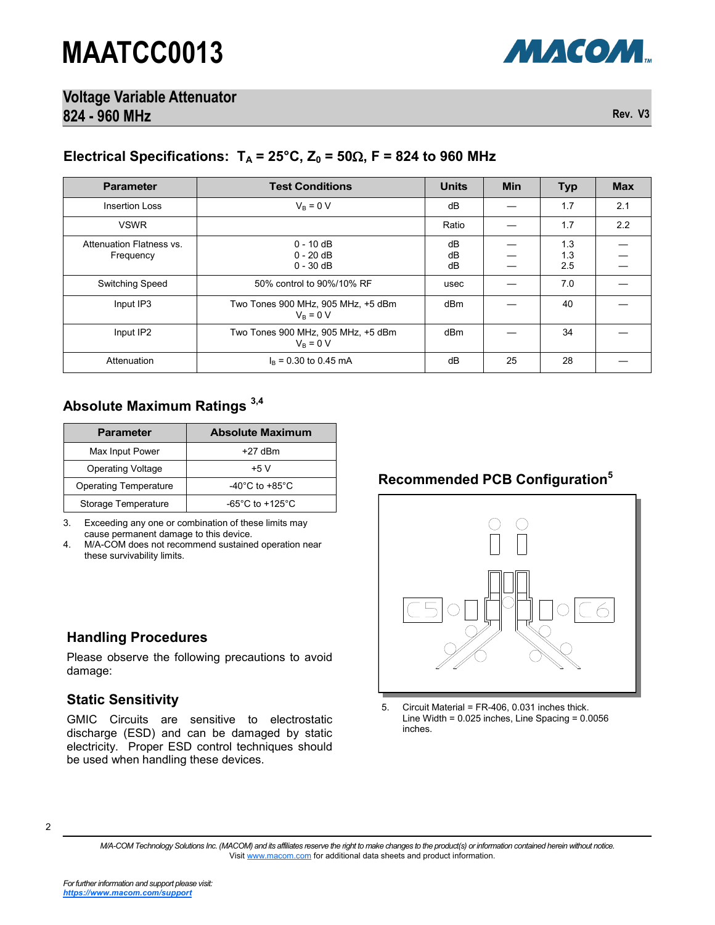

**Voltage Variable Attenuator 824 - 960 MHz Rev. V3**

### Electrical Specifications:  $T_A = 25^\circ \text{C}$ ,  $Z_0 = 50 \Omega$ ,  $F = 824$  to 960 MHz

| <b>Parameter</b>                      | <b>Test Conditions</b>                            | <b>Units</b>   | <b>Min</b> | <b>Typ</b>        | <b>Max</b> |
|---------------------------------------|---------------------------------------------------|----------------|------------|-------------------|------------|
| <b>Insertion Loss</b>                 | $V_B = 0 V$                                       | dB             |            | 1.7               | 2.1        |
| <b>VSWR</b>                           |                                                   | Ratio          |            | 1.7               | 2.2        |
| Attenuation Flatness vs.<br>Frequency | $0 - 10$ dB<br>$0 - 20$ dB<br>$0 - 30$ dB         | dB<br>dB<br>dB |            | 1.3<br>1.3<br>2.5 |            |
| <b>Switching Speed</b>                | 50% control to 90%/10% RF                         | usec           |            | 7.0               |            |
| Input IP3                             | Two Tones 900 MHz, 905 MHz, +5 dBm<br>$V_B = 0 V$ | dBm            |            | 40                |            |
| Input IP2                             | Two Tones 900 MHz, 905 MHz, +5 dBm<br>$V_B = 0 V$ | dBm            |            | 34                |            |
| Attenuation                           | $I_B = 0.30$ to 0.45 mA                           | dB             | 25         | 28                |            |

# **Absolute Maximum Ratings 3,4**

| <b>Parameter</b>             | <b>Absolute Maximum</b>               |
|------------------------------|---------------------------------------|
| Max Input Power              | $+27$ dBm                             |
| <b>Operating Voltage</b>     | +5 V                                  |
| <b>Operating Temperature</b> | -40 $^{\circ}$ C to +85 $^{\circ}$ C  |
| Storage Temperature          | -65 $^{\circ}$ C to +125 $^{\circ}$ C |

3. Exceeding any one or combination of these limits may cause permanent damage to this device.

4. M/A-COM does not recommend sustained operation near these survivability limits.

Please observe the following precautions to avoid

GMIC Circuits are sensitive to electrostatic discharge (ESD) and can be damaged by static electricity. Proper ESD control techniques should

be used when handling these devices.

# **Recommended PCB Configuration<sup>5</sup>**



<sup>5.</sup> Circuit Material = FR-406, 0.031 inches thick. Line Width = 0.025 inches, Line Spacing = 0.0056 inches.

**Handling Procedures**

**Static Sensitivity**

damage:

<sup>2</sup>

*M/A-COM Technology Solutions Inc. (MACOM) and its affiliates reserve the right to make changes to the product(s) or information contained herein without notice.*  Visit [www.macom.com](http://www.macom.com/) for additional data sheets and product information.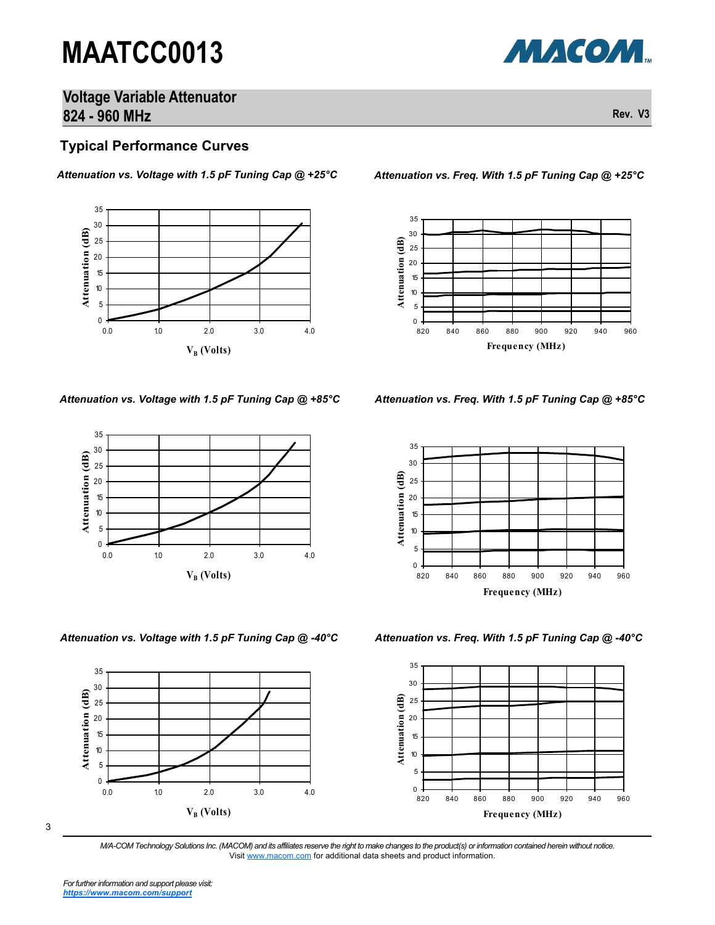

### **Voltage Variable Attenuator 824 - 960 MHz Rev. V3**

#### **Typical Performance Curves**

#### *Attenuation vs. Voltage with 1.5 pF Tuning Cap @ +25°C*





*Attenuation vs. Voltage with 1.5 pF Tuning Cap @ -40°C Attenuation vs. Freq. With 1.5 pF Tuning Cap @ -40°C*



*Attenuation vs. Freq. With 1.5 pF Tuning Cap @ +25°C*



*Attenuation vs. Voltage with 1.5 pF Tuning Cap @ +85°C Attenuation vs. Freq. With 1.5 pF Tuning Cap @ +85°C*





3

*M/A-COM Technology Solutions Inc. (MACOM) and its affiliates reserve the right to make changes to the product(s) or information contained herein without notice.*  Visit [www.macom.com](http://www.macom.com/) for additional data sheets and product information.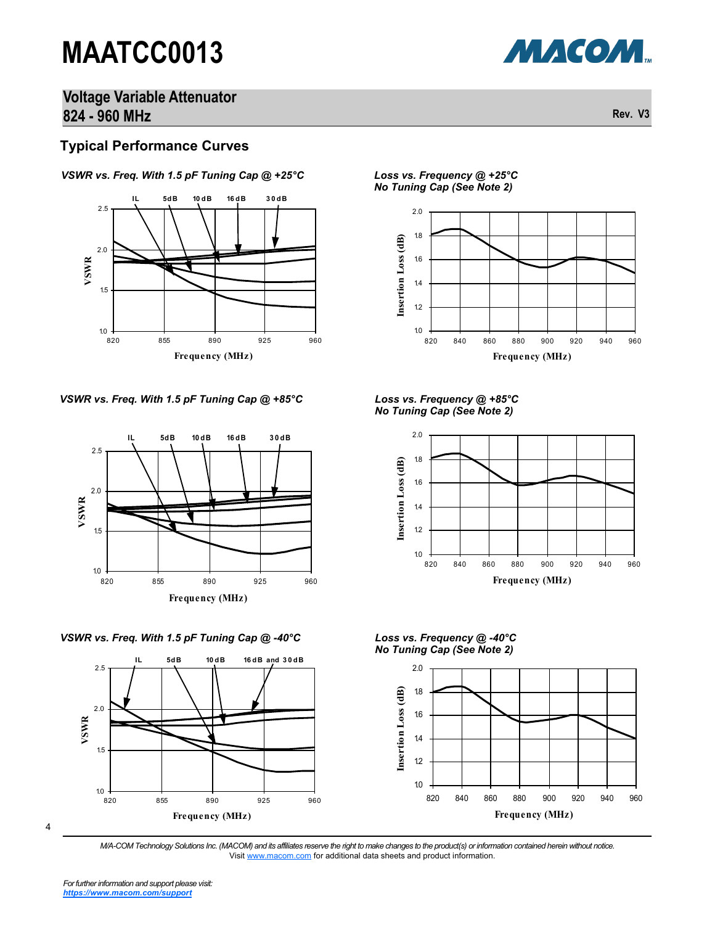

### **Voltage Variable Attenuator 824 - 960 MHz Rev. V3**

#### **Typical Performance Curves**



*VSWR vs. Freq. With 1.5 pF Tuning Cap @ +25°C*





*VSWR vs. Freq. With 1.5 pF Tuning Cap @ -40°C Loss vs. Frequency @ -40°C*



4

*Loss vs. Frequency @ +25°C No Tuning Cap (See Note 2)*



*No Tuning Cap (See Note 2)*



*No Tuning Cap (See Note 2)*



*M/A-COM Technology Solutions Inc. (MACOM) and its affiliates reserve the right to make changes to the product(s) or information contained herein without notice.*  Visit [www.macom.com](http://www.macom.com/) for additional data sheets and product information.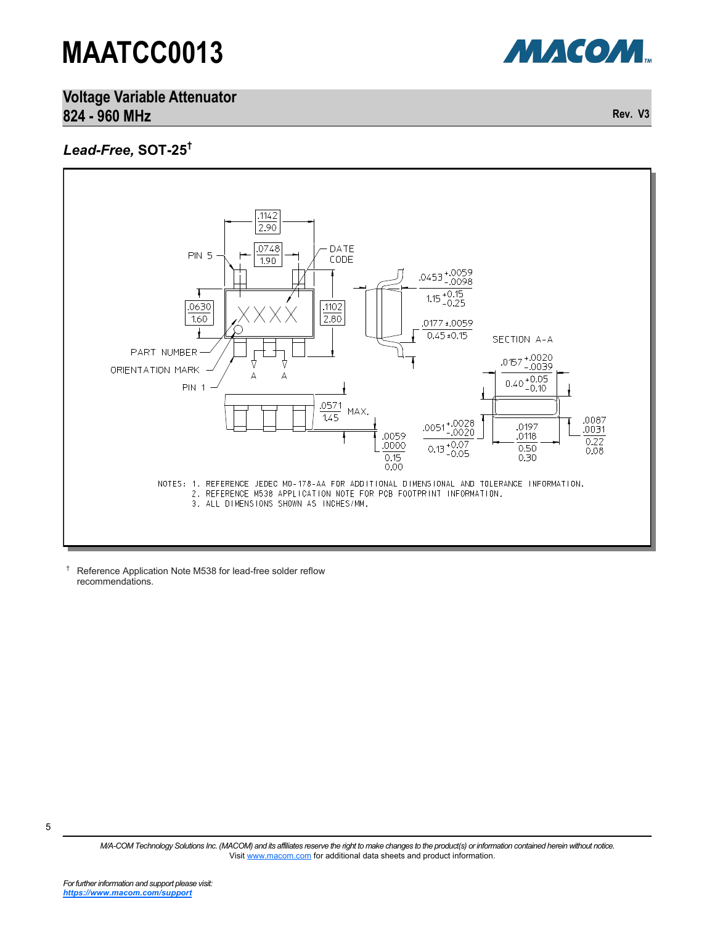

**Voltage Variable Attenuator 824 - 960 MHz Rev. V3**

### *Lead-Free,* **SOT-25†**



† Reference Application Note M538 for lead-free solder reflow recommendations.

*M/A-COM Technology Solutions Inc. (MACOM) and its affiliates reserve the right to make changes to the product(s) or information contained herein without notice.*  Visit [www.macom.com](http://www.macom.com/) for additional data sheets and product information.